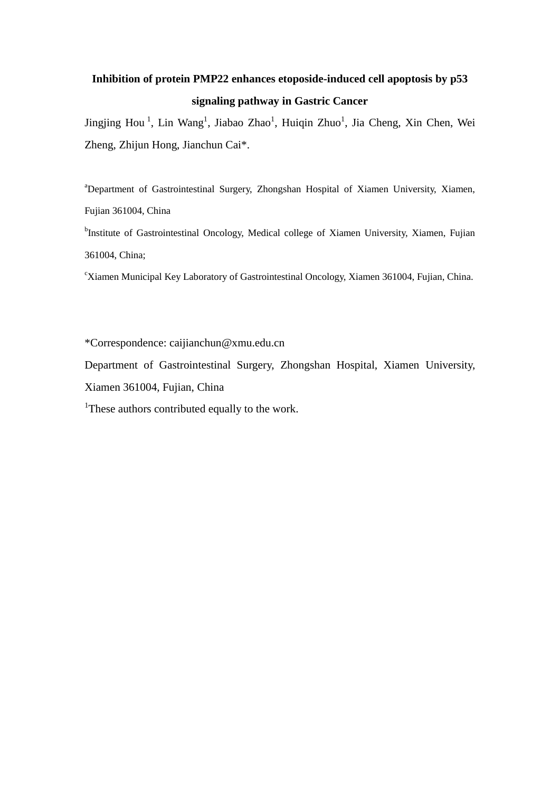## **Inhibition of protein PMP22 enhances etoposide-induced cell apoptosis by p53 signaling pathway in Gastric Cancer**

Jingjing Hou<sup>1</sup>, Lin Wang<sup>1</sup>, Jiabao Zhao<sup>1</sup>, Huiqin Zhuo<sup>1</sup>, Jia Cheng, Xin Chen, Wei Zheng, Zhijun Hong, Jianchun Cai\*.

<sup>a</sup>Department of Gastrointestinal Surgery, Zhongshan Hospital of Xiamen University, Xiamen, Fujian 361004, China

<sup>b</sup>Institute of Gastrointestinal Oncology, Medical college of Xiamen University, Xiamen, Fujian 361004, China;

<sup>c</sup>Xiamen Municipal Key Laboratory of Gastrointestinal Oncology, Xiamen 361004, Fujian, China.

\*Correspondence: caijianchun@xmu.edu.cn

Department of Gastrointestinal Surgery, Zhongshan Hospital, Xiamen University,

Xiamen 361004, Fujian, China

<sup>1</sup>These authors contributed equally to the work.